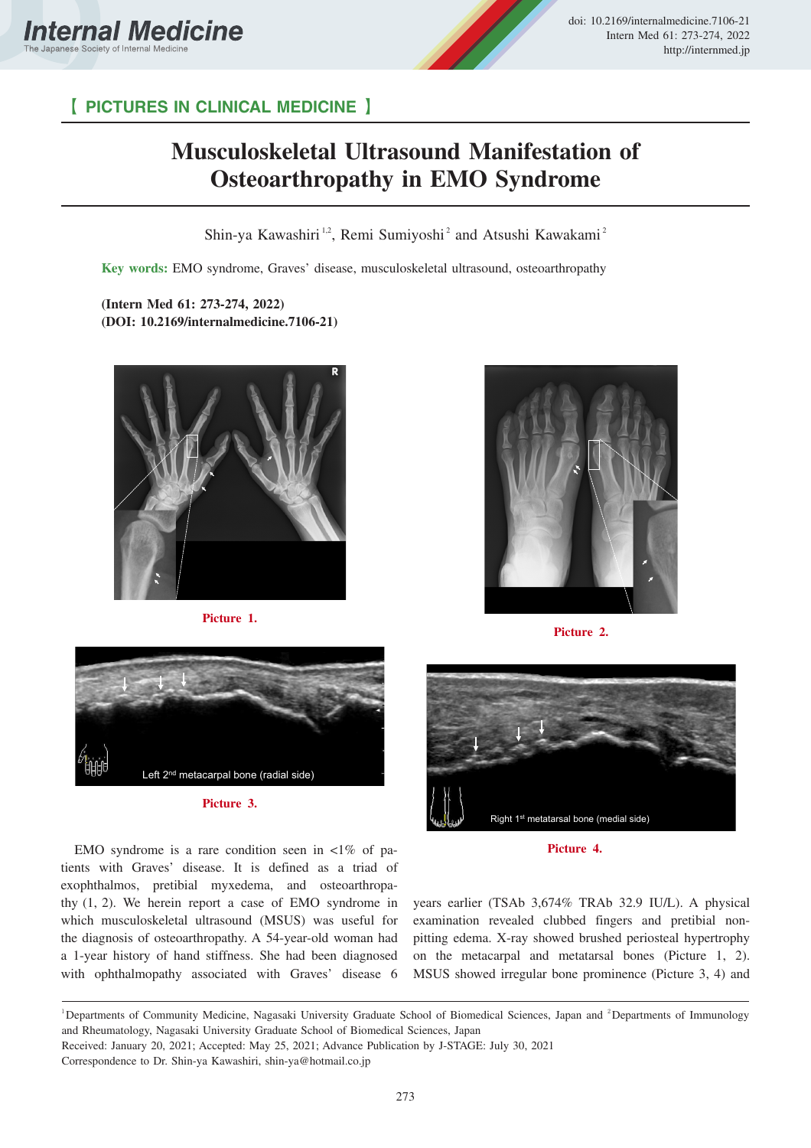



## 【 **PICTURES IN CLINICAL MEDICINE** 】

## **Musculoskeletal Ultrasound Manifestation of Osteoarthropathy in EMO Syndrome**

Shin-ya Kawashiri<sup>1,2</sup>, Remi Sumiyoshi<sup>2</sup> and Atsushi Kawakami<sup>2</sup>

**Key words:** EMO syndrome, Graves' disease, musculoskeletal ultrasound, osteoarthropathy

**(Intern Med 61: 273-274, 2022) (DOI: 10.2169/internalmedicine.7106-21)**



**Picture 1.**



**Picture 3.**

EMO syndrome is a rare condition seen in  $\langle 1\%$  of patients with Graves' disease. It is defined as a triad of exophthalmos, pretibial myxedema, and osteoarthropathy (1, 2). We herein report a case of EMO syndrome in which musculoskeletal ultrasound (MSUS) was useful for the diagnosis of osteoarthropathy. A 54-year-old woman had a 1-year history of hand stiffness. She had been diagnosed with ophthalmopathy associated with Graves' disease 6



**Picture 2.**



**Picture 4.**

years earlier (TSAb 3,674% TRAb 32.9 IU/L). A physical examination revealed clubbed fingers and pretibial nonpitting edema. X-ray showed brushed periosteal hypertrophy on the metacarpal and metatarsal bones (Picture 1, 2). MSUS showed irregular bone prominence (Picture 3, 4) and

<sup>&</sup>lt;sup>1</sup>Departments of Community Medicine, Nagasaki University Graduate School of Biomedical Sciences, Japan and <sup>2</sup>Departments of Immunology and Rheumatology, Nagasaki University Graduate School of Biomedical Sciences, Japan

Received: January 20, 2021; Accepted: May 25, 2021; Advance Publication by J-STAGE: July 30, 2021

Correspondence to Dr. Shin-ya Kawashiri, shin-ya@hotmail.co.jp